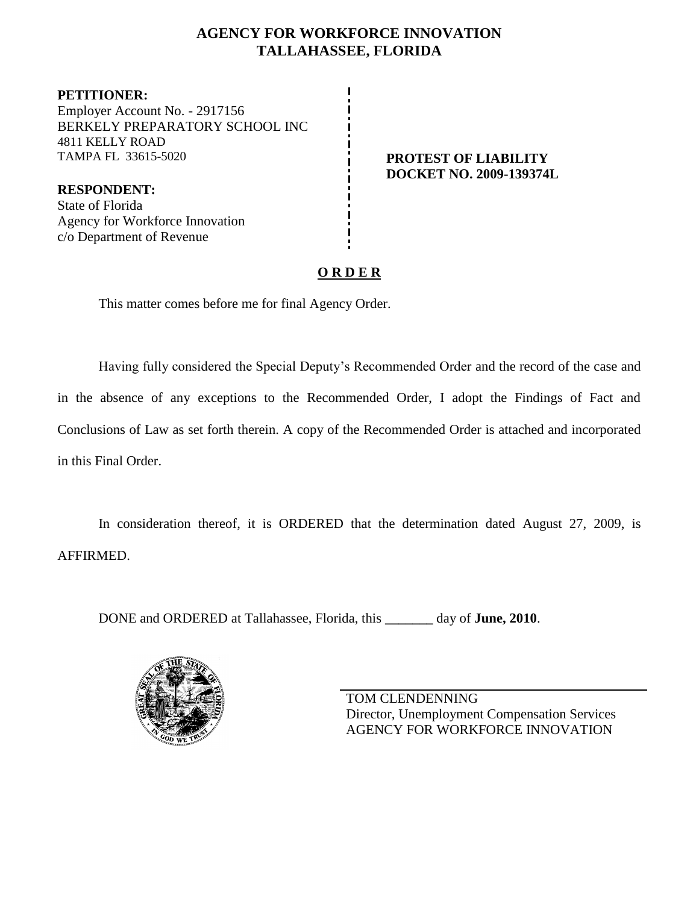# **AGENCY FOR WORKFORCE INNOVATION TALLAHASSEE, FLORIDA**

**PETITIONER:** Employer Account No. - 2917156 BERKELY PREPARATORY SCHOOL INC 4811 KELLY ROAD TAMPA FL 33615-5020 **PROTEST OF LIABILITY**

**DOCKET NO. 2009-139374L**

**RESPONDENT:** State of Florida Agency for Workforce Innovation c/o Department of Revenue

# **O R D E R**

This matter comes before me for final Agency Order.

Having fully considered the Special Deputy's Recommended Order and the record of the case and in the absence of any exceptions to the Recommended Order, I adopt the Findings of Fact and Conclusions of Law as set forth therein. A copy of the Recommended Order is attached and incorporated in this Final Order.

In consideration thereof, it is ORDERED that the determination dated August 27, 2009, is AFFIRMED.

DONE and ORDERED at Tallahassee, Florida, this **\_\_\_\_\_\_\_** day of **June, 2010**.



TOM CLENDENNING Director, Unemployment Compensation Services AGENCY FOR WORKFORCE INNOVATION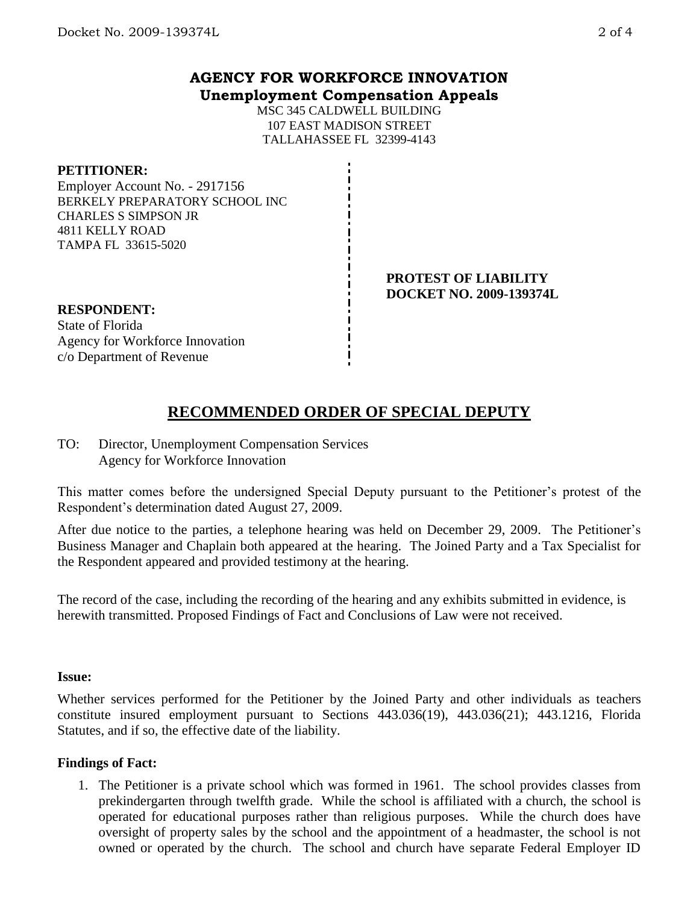## **AGENCY FOR WORKFORCE INNOVATION Unemployment Compensation Appeals**

MSC 345 CALDWELL BUILDING 107 EAST MADISON STREET TALLAHASSEE FL 32399-4143

### **PETITIONER:**

Employer Account No. - 2917156 BERKELY PREPARATORY SCHOOL INC CHARLES S SIMPSON JR 4811 KELLY ROAD TAMPA FL 33615-5020

#### **PROTEST OF LIABILITY DOCKET NO. 2009-139374L**

**RESPONDENT:** State of Florida Agency for Workforce Innovation c/o Department of Revenue

# **RECOMMENDED ORDER OF SPECIAL DEPUTY**

TO: Director, Unemployment Compensation Services Agency for Workforce Innovation

This matter comes before the undersigned Special Deputy pursuant to the Petitioner's protest of the Respondent's determination dated August 27, 2009.

After due notice to the parties, a telephone hearing was held on December 29, 2009. The Petitioner's Business Manager and Chaplain both appeared at the hearing. The Joined Party and a Tax Specialist for the Respondent appeared and provided testimony at the hearing.

The record of the case, including the recording of the hearing and any exhibits submitted in evidence, is herewith transmitted. Proposed Findings of Fact and Conclusions of Law were not received.

#### **Issue:**

Whether services performed for the Petitioner by the Joined Party and other individuals as teachers constitute insured employment pursuant to Sections 443.036(19), 443.036(21); 443.1216, Florida Statutes, and if so, the effective date of the liability.

## **Findings of Fact:**

1. The Petitioner is a private school which was formed in 1961. The school provides classes from prekindergarten through twelfth grade. While the school is affiliated with a church, the school is operated for educational purposes rather than religious purposes. While the church does have oversight of property sales by the school and the appointment of a headmaster, the school is not owned or operated by the church. The school and church have separate Federal Employer ID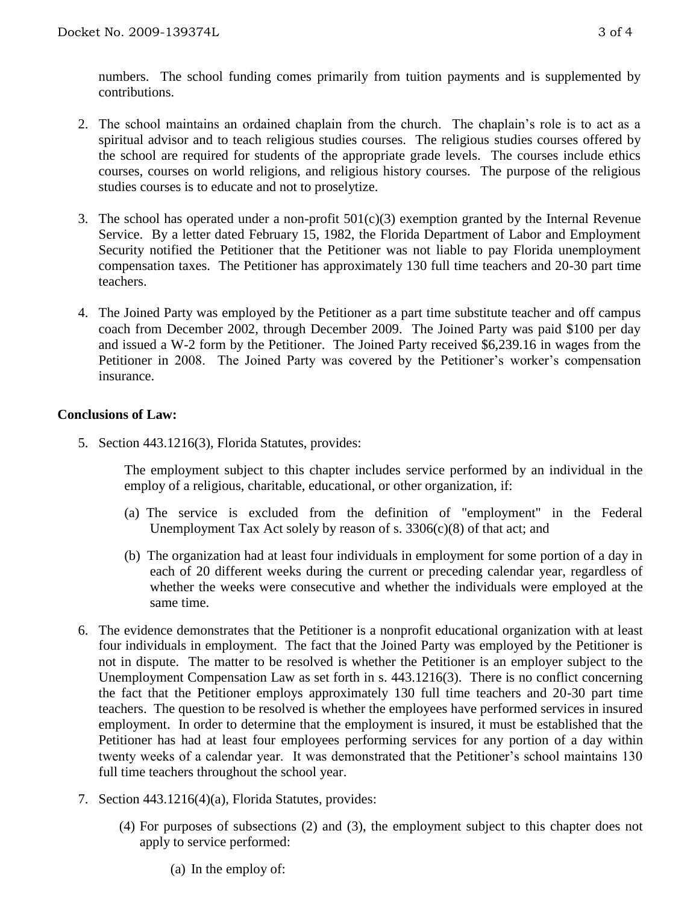numbers. The school funding comes primarily from tuition payments and is supplemented by contributions.

- 2. The school maintains an ordained chaplain from the church. The chaplain's role is to act as a spiritual advisor and to teach religious studies courses. The religious studies courses offered by the school are required for students of the appropriate grade levels. The courses include ethics courses, courses on world religions, and religious history courses. The purpose of the religious studies courses is to educate and not to proselytize.
- 3. The school has operated under a non-profit  $501(c)(3)$  exemption granted by the Internal Revenue Service. By a letter dated February 15, 1982, the Florida Department of Labor and Employment Security notified the Petitioner that the Petitioner was not liable to pay Florida unemployment compensation taxes. The Petitioner has approximately 130 full time teachers and 20-30 part time teachers.
- 4. The Joined Party was employed by the Petitioner as a part time substitute teacher and off campus coach from December 2002, through December 2009. The Joined Party was paid \$100 per day and issued a W-2 form by the Petitioner. The Joined Party received \$6,239.16 in wages from the Petitioner in 2008. The Joined Party was covered by the Petitioner's worker's compensation insurance.

### **Conclusions of Law:**

5. Section 443.1216(3), Florida Statutes, provides:

The employment subject to this chapter includes service performed by an individual in the employ of a religious, charitable, educational, or other organization, if:

- (a) The service is excluded from the definition of "employment" in the Federal Unemployment Tax Act solely by reason of s. 3306(c)(8) of that act; and
- (b) The organization had at least four individuals in employment for some portion of a day in each of 20 different weeks during the current or preceding calendar year, regardless of whether the weeks were consecutive and whether the individuals were employed at the same time.
- 6. The evidence demonstrates that the Petitioner is a nonprofit educational organization with at least four individuals in employment. The fact that the Joined Party was employed by the Petitioner is not in dispute. The matter to be resolved is whether the Petitioner is an employer subject to the Unemployment Compensation Law as set forth in s. 443.1216(3). There is no conflict concerning the fact that the Petitioner employs approximately 130 full time teachers and 20-30 part time teachers. The question to be resolved is whether the employees have performed services in insured employment. In order to determine that the employment is insured, it must be established that the Petitioner has had at least four employees performing services for any portion of a day within twenty weeks of a calendar year. It was demonstrated that the Petitioner's school maintains 130 full time teachers throughout the school year.
- 7. Section 443.1216(4)(a), Florida Statutes, provides:
	- (4) For purposes of subsections (2) and (3), the employment subject to this chapter does not apply to service performed:

(a) In the employ of: